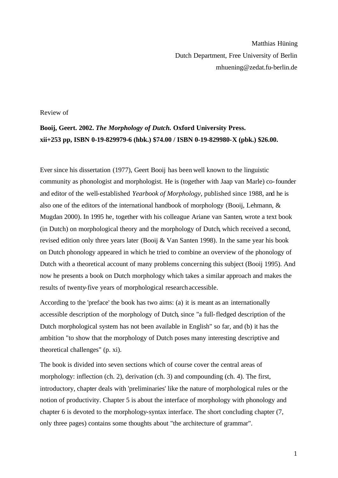Matthias Hüning Dutch Department, Free University of Berlin mhuening@zedat.fu-berlin.de

## Review of

## **Booij, Geert. 2002.** *The Morphology of Dutch.* **Oxford University Press. xii+253 pp, ISBN 0-19-829979-6 (hbk.) \$74.00 / ISBN 0-19-829980-X (pbk.) \$26.00.**

Ever since his dissertation (1977), Geert Booij has been well known to the linguistic community as phonologist and morphologist. He is (together with Jaap van Marle) co-founder and editor of the well-established *Yearbook of Morphology*, published since 1988, and he is also one of the editors of the international handbook of morphology (Booij, Lehmann, & Mugdan 2000). In 1995 he, together with his colleague Ariane van Santen, wrote a text book (in Dutch) on morphological theory and the morphology of Dutch, which received a second, revised edition only three years later (Booij & Van Santen 1998). In the same year his book on Dutch phonology appeared in which he tried to combine an overview of the phonology of Dutch with a theoretical account of many problems concerning this subject (Booij 1995). And now he presents a book on Dutch morphology which takes a similar approach and makes the results of twenty-five years of morphological researchaccessible.

According to the 'preface' the book has two aims: (a) it is meant as an internationally accessible description of the morphology of Dutch, since "a full-fledged description of the Dutch morphological system has not been available in English" so far, and (b) it has the ambition "to show that the morphology of Dutch poses many interesting descriptive and theoretical challenges" (p. xi).

The book is divided into seven sections which of course cover the central areas of morphology: inflection (ch. 2), derivation (ch. 3) and compounding (ch. 4). The first, introductory, chapter deals with 'preliminaries' like the nature of morphological rules or the notion of productivity. Chapter 5 is about the interface of morphology with phonology and chapter 6 is devoted to the morphology-syntax interface. The short concluding chapter (7, only three pages) contains some thoughts about "the architecture of grammar".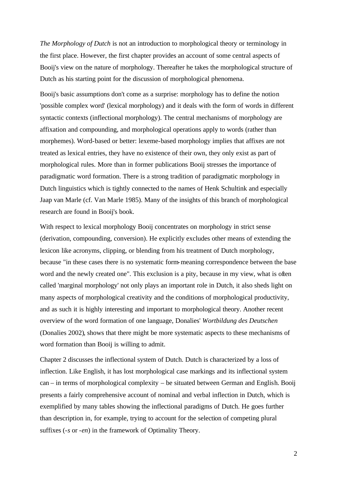*The Morphology of Dutch* is not an introduction to morphological theory or terminology in the first place. However, the first chapter provides an account of some central aspects of Booij's view on the nature of morphology. Thereafter he takes the morphological structure of Dutch as his starting point for the discussion of morphological phenomena.

Booij's basic assumptions don't come as a surprise: morphology has to define the notion 'possible complex word' (lexical morphology) and it deals with the form of words in different syntactic contexts (inflectional morphology). The central mechanisms of morphology are affixation and compounding, and morphological operations apply to words (rather than morphemes). Word-based or better: lexeme-based morphology implies that affixes are not treated as lexical entries, they have no existence of their own, they only exist as part of morphological rules. More than in former publications Booij stresses the importance of paradigmatic word formation. There is a strong tradition of paradigmatic morphology in Dutch linguistics which is tightly connected to the names of Henk Schultink and especially Jaap van Marle (cf. Van Marle 1985). Many of the insights of this branch of morphological research are found in Booij's book.

With respect to lexical morphology Booij concentrates on morphology in strict sense (derivation, compounding, conversion). He explicitly excludes other means of extending the lexicon like acronyms, clipping, or blending from his treatment of Dutch morphology, because "in these cases there is no systematic form-meaning correspondence between the base word and the newly created one". This exclusion is a pity, because in my view, what is often called 'marginal morphology' not only plays an important role in Dutch, it also sheds light on many aspects of morphological creativity and the conditions of morphological productivity, and as such it is highly interesting and important to morphological theory. Another recent overview of the word formation of one language, Donalies' *Wortbildung des Deutschen* (Donalies 2002), shows that there might be more systematic aspects to these mechanisms of word formation than Booij is willing to admit.

Chapter 2 discusses the inflectional system of Dutch. Dutch is characterized by a loss of inflection. Like English, it has lost morphological case markings and its inflectional system can – in terms of morphological complexity – be situated between German and English. Booij presents a fairly comprehensive account of nominal and verbal inflection in Dutch, which is exemplified by many tables showing the inflectional paradigms of Dutch. He goes further than description in, for example, trying to account for the selection of competing plural suffixes (-*s* or -*en*) in the framework of Optimality Theory.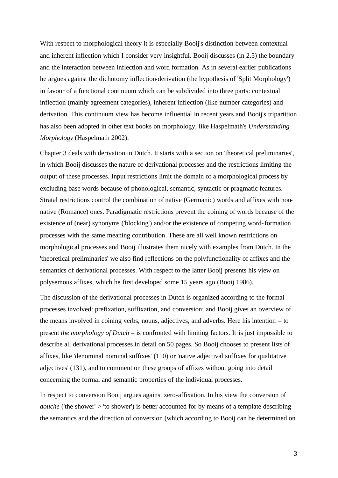With respect to morphological theory it is especially Booij's distinction between contextual and inherent inflection which I consider very insightful. Booij discusses (in 2.5) the boundary and the interaction between inflection and word formation. As in several earlier publications he argues against the dichotomy inflection-derivation (the hypothesis of 'Split Morphology') in favour of a functional continuum which can be subdivided into three parts: contextual inflection (mainly agreement categories), inherent inflection (like number categories) and derivation. This continuum view has become influential in recent years and Booij's tripartition has also been adopted in other text books on morphology, like Haspelmath's *Understanding Morphology* (Haspelmath 2002).

Chapter 3 deals with derivation in Dutch. It starts with a section on 'theoretical preliminaries', in which Booij discusses the nature of derivational processes and the restrictions limiting the output of these processes. Input restrictions limit the domain of a morphological process by excluding base words because of phonological, semantic, syntactic or pragmatic features. Stratal restrictions control the combination of native (Germanic) words and affixes with nonnative (Romance) ones. Paradigmatic restrictions prevent the coining of words because of the existence of (near) synonyms ('blocking') and/or the existence of competing word-formation processes with the same meaning contribution. These are all well known restrictions on morphological processes and Booij illustrates them nicely with examples from Dutch. In the 'theoretical preliminaries' we also find reflections on the polyfunctionality of affixes and the semantics of derivational processes. With respect to the latter Booij presents his view on polysemous affixes, which he first developed some 15 years ago (Booij 1986).

The discussion of the derivational processes in Dutch is organized according to the formal processes involved: prefixation, suffixation, and conversion; and Booij gives an overview of the means involved in coining verbs, nouns, adjectives, and adverbs. Here his intention – to present *the morphology of Dutch* – is confronted with limiting factors. It is just impossible to describe all derivational processes in detail on 50 pages. So Booij chooses to present lists of affixes, like 'denominal nominal suffixes' (110) or 'native adjectival suffixes for qualitative adjectives' (131), and to comment on these groups of affixes without going into detail concerning the formal and semantic properties of the individual processes.

In respect to conversion Booij argues against zero-affixation. In his view the conversion of *douche* ('the shower' > 'to shower') is better accounted for by means of a template describing the semantics and the direction of conversion (which according to Booij can be determined on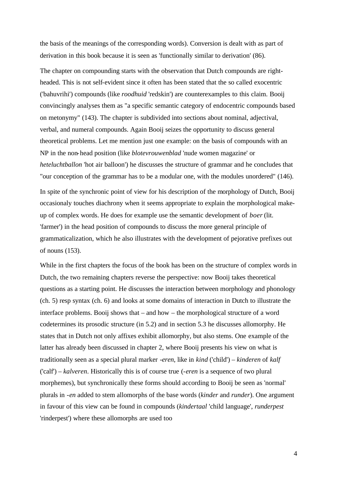the basis of the meanings of the corresponding words). Conversion is dealt with as part of derivation in this book because it is seen as 'functionally similar to derivation' (86).

The chapter on compounding starts with the observation that Dutch compounds are rightheaded. This is not self-evident since it often has been stated that the so called exocentric ('bahuvrihi') compounds (like *roodhuid* 'redskin') are counterexamples to this claim. Booij convincingly analyses them as "a specific semantic category of endocentric compounds based on metonymy" (143). The chapter is subdivided into sections about nominal, adjectival, verbal, and numeral compounds. Again Booij seizes the opportunity to discuss general theoretical problems. Let me mention just one example: on the basis of compounds with an NP in the non-head position (like *blotevrouwenblad* 'nude women magazine' or *heteluchtballon* 'hot air balloon') he discusses the structure of grammar and he concludes that "our conception of the grammar has to be a modular one, with the modules unordered" (146).

In spite of the synchronic point of view for his description of the morphology of Dutch, Booij occasionaly touches diachrony when it seems appropriate to explain the morphological makeup of complex words. He does for example use the semantic development of *boer* (lit. 'farmer') in the head position of compounds to discuss the more general principle of grammaticalization, which he also illustrates with the development of pejorative prefixes out of nouns (153).

While in the first chapters the focus of the book has been on the structure of complex words in Dutch, the two remaining chapters reverse the perspective: now Booij takes theoretical questions as a starting point. He discusses the interaction between morphology and phonology (ch. 5) resp syntax (ch. 6) and looks at some domains of interaction in Dutch to illustrate the interface problems. Booij shows that – and how – the morphological structure of a word codetermines its prosodic structure (in 5.2) and in section 5.3 he discusses allomorphy. He states that in Dutch not only affixes exhibit allomorphy, but also stems. One example of the latter has already been discussed in chapter 2, where Booij presents his view on what is traditionally seen as a special plural marker *-eren*, like in *kind* ('child') – *kinderen* of *kalf* ('calf') – *kalveren*. Historically this is of course true (-*eren* is a sequence of two plural morphemes), but synchronically these forms should according to Booij be seen as 'normal' plurals in -*en* added to stem allomorphs of the base words (*kinder* and *runder*). One argument in favour of this view can be found in compounds (*kindertaal* 'child language', *runderpest* 'rinderpest') where these allomorphs are used too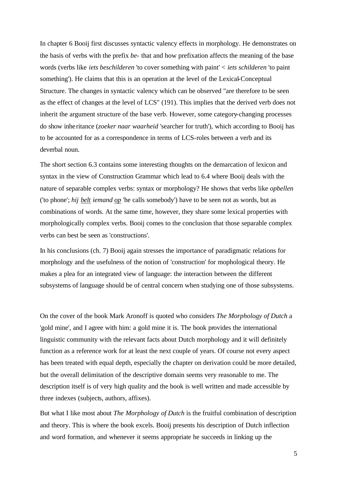In chapter 6 Booij first discusses syntactic valency effects in morphology. He demonstrates on the basis of verbs with the prefix *be*- that and how prefixation affects the meaning of the base words (verbs like *iets beschilderen* 'to cover something with paint' < *iets schilderen* 'to paint something'). He claims that this is an operation at the level of the Lexical-Conceptual Structure. The changes in syntactic valency which can be observed "are therefore to be seen as the effect of changes at the level of LCS" (191). This implies that the derived verb does not inherit the argument structure of the base verb. However, some category-changing processes do show inheritance (*zoeker naar waarheid* 'searcher for truth'), which according to Booij has to be accounted for as a correspondence in terms of LCS-roles between a verb and its deverbal noun.

The short section 6.3 contains some interesting thoughts on the demarcation of lexicon and syntax in the view of Construction Grammar which lead to 6.4 where Booij deals with the nature of separable complex verbs: syntax or morphology? He shows that verbs like *opbellen* ('to phone'; *hij belt iemand op* 'he calls somebody') have to be seen not as words, but as combinations of words. At the same time, however, they share some lexical properties with morphologically complex verbs. Booij comes to the conclusion that those separable complex verbs can best be seen as 'constructions'.

In his conclusions (ch. 7) Booij again stresses the importance of paradigmatic relations for morphology and the usefulness of the notion of 'construction' for mophological theory. He makes a plea for an integrated view of language: the interaction between the different subsystems of language should be of central concern when studying one of those subsystems.

On the cover of the book Mark Aronoff is quoted who considers *The Morphology of Dutch* a 'gold mine', and I agree with him: a gold mine it is. The book provides the international linguistic community with the relevant facts about Dutch morphology and it will definitely function as a reference work for at least the next couple of years. Of course not every aspect has been treated with equal depth, especially the chapter on derivation could be more detailed, but the overall delimitation of the descriptive domain seems very reasonable to me. The description itself is of very high quality and the book is well written and made accessible by three indexes (subjects, authors, affixes).

But what I like most about *The Morphology of Dutch* is the fruitful combination of description and theory. This is where the book excels. Booij presents his description of Dutch inflection and word formation, and whenever it seems appropriate he succeeds in linking up the